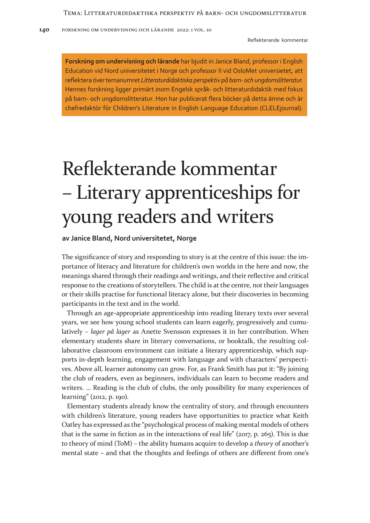**Forskning om undervisning och lärande** har bjudit in Janice Bland, professor i English Education vid Nord universitetet i Norge och professor II vid OsloMet universietet, att reflektera över temanumret *Litteraturdidaktiska perspektiv på barn- och ungdomslitteratur*. Hennes forskning ligger primärt inom Engelsk språk- och litteraturdidaktik med fokus på barn- och ungdomslitteratur. Hon har publicerat flera böcker på detta ämne och är chefredaktör för Children's Literature in English Language Education (CLELEjournal).

## Reflekterande kommentar – Literary apprenticeships for young readers and writers

## **av Janice Bland, Nord universitetet, Norge**

The significance of story and responding to story is at the centre of this issue: the importance of literacy and literature for children's own worlds in the here and now, the meanings shared through their readings and writings, and their reflective and critical response to the creations of storytellers. The child is at the centre, not their languages or their skills practise for functional literacy alone, but their discoveries in becoming participants in the text and in the world.

Through an age-appropriate apprenticeship into reading literary texts over several years, we see how young school students can learn eagerly, progressively and cumulatively – *lager på lager* as Anette Svensson expresses it in her contribution. When elementary students share in literary conversations, or booktalk, the resulting collaborative classroom environment can initiate a literary apprenticeship, which supports in-depth learning, engagement with language and with characters' perspectives. Above all, learner autonomy can grow. For, as Frank Smith has put it: "By joining the club of readers, even as beginners, individuals can learn to become readers and writers. ... Reading is the club of clubs, the only possibility for many experiences of learning" (2012, p. 190).

Elementary students already know the centrality of story, and through encounters with children's literature, young readers have opportunities to practice what Keith Oatley has expressed as the "psychological process of making mental models of others that is the same in fiction as in the interactions of real life" ( $2017$ , p. 265). This is due to theory of mind (ToM) – the ability humans acquire to develop a *theory* of another's mental state – and that the thoughts and feelings of others are different from one's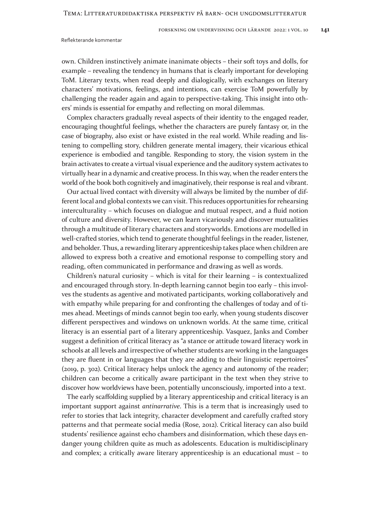Reflekterande kommentar

own. Children instinctively animate inanimate objects – their soft toys and dolls, for example – revealing the tendency in humans that is clearly important for developing ToM. Literary texts, when read deeply and dialogically, with exchanges on literary characters' motivations, feelings, and intentions, can exercise ToM powerfully by challenging the reader again and again to perspective-taking. This insight into others' minds is essential for empathy and reflecting on moral dilemmas.

Complex characters gradually reveal aspects of their identity to the engaged reader, encouraging thoughtful feelings, whether the characters are purely fantasy or, in the case of biography, also exist or have existed in the real world. While reading and listening to compelling story, children generate mental imagery, their vicarious ethical experience is embodied and tangible. Responding to story, the vision system in the brain activates to create a virtual visual experience and the auditory system activates to virtually hear in a dynamic and creative process. In this way, when the reader enters the world of the book both cognitively and imaginatively, their response is real and vibrant.

Our actual lived contact with diversity will always be limited by the number of different local and global contexts we can visit. This reduces opportunities for rehearsing interculturality – which focuses on dialogue and mutual respect, and a fluid notion of culture and diversity. However, we can learn vicariously and discover mutualities through a multitude of literary characters and storyworlds. Emotions are modelled in well-crafted stories, which tend to generate thoughtful feelings in the reader, listener, and beholder. Thus, a rewarding literary apprenticeship takes place when children are allowed to express both a creative and emotional response to compelling story and reading, often communicated in performance and drawing as well as words.

Children's natural curiosity – which is vital for their learning – is contextualized and encouraged through story. In-depth learning cannot begin too early – this involves the students as agentive and motivated participants, working collaboratively and with empathy while preparing for and confronting the challenges of today and of times ahead. Meetings of minds cannot begin too early, when young students discover different perspectives and windows on unknown worlds. At the same time, critical literacy is an essential part of a literary apprenticeship. Vasquez, Janks and Comber suggest a definition of critical literacy as "a stance or attitude toward literacy work in schools at all levels and irrespective of whether students are working in the languages they are fluent in or languages that they are adding to their linguistic repertoires" (2019, p. 302). Critical literacy helps unlock the agency and autonomy of the reader; children can become a critically aware participant in the text when they strive to discover how worldviews have been, potentially unconsciously, imported into a text.

The early scaffolding supplied by a literary apprenticeship and critical literacy is an important support against *antinarrative*. This is a term that is increasingly used to refer to stories that lack integrity, character development and carefully crafted story patterns and that permeate social media (Rose, 2012). Critical literacy can also build students' resilience against echo chambers and disinformation, which these days endanger young children quite as much as adolescents. Education is multidisciplinary and complex; a critically aware literary apprenticeship is an educational must – to